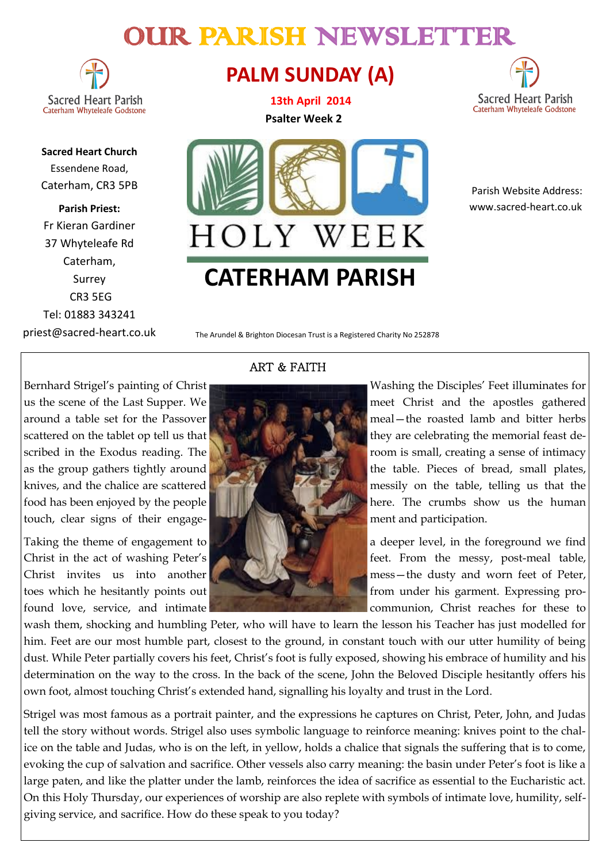# OUR PARISH NEWSLETTER

**Sacred Heart Parish** Caterham Whyteleafe Godstone

**Sacred Heart Church** Essendene Road, Caterham, CR3 5PB

**Parish Priest:** Fr Kieran Gardiner 37 Whyteleafe Rd Caterham, Surrey CR3 5EG Tel: 01883 343241 priest@sacred-heart.co.uk

## **PALM SUNDAY (A)**

**13th April 2014 Psalter Week 2**



 Parish Website Address: www.sacred-heart.co.uk

The Arundel & Brighton Diocesan Trust is a Registered Charity No 252878

**CATERHAM PARISH**

HOLY WEEK

touch, clear signs of their engage-**Theory of the state of the state of the state of the state of the state of the state of the state of the state of the state of the state of the state of the state of the state of the sta** 

#### ART & FAITH



Bernhard Strigel's painting of Christ Washing the Disciples' Feet illuminates for us the scene of the Last Supper. We meet Christ and the apostles gathered around a table set for the Passover meal—the roasted lamb and bitter herbs scattered on the tablet op tell us that the state of the state of they are celebrating the memorial feast described in the Exodus reading. The **room** is small, creating a sense of intimacy as the group gathers tightly around the table. Pieces of bread, small plates, knives, and the chalice are scattered **the chalice are scattered** messily on the table, telling us that the food has been enjoyed by the people **the state of the state of the state of the state is a state of the human** 

Taking the theme of engagement to **a deeper level** a deeper level, in the foreground we find Christ in the act of washing Peter's **for the state of the state of the messy**, post-meal table, Christ invites us into another **the contract of Peter**, toes which he hesitantly points out **from the standard from under his garment**. Expressing profound love, service, and intimate communion, Christ reaches for these to

wash them, shocking and humbling Peter, who will have to learn the lesson his Teacher has just modelled for him. Feet are our most humble part, closest to the ground, in constant touch with our utter humility of being dust. While Peter partially covers his feet, Christ's foot is fully exposed, showing his embrace of humility and his determination on the way to the cross. In the back of the scene, John the Beloved Disciple hesitantly offers his own foot, almost touching Christ's extended hand, signalling his loyalty and trust in the Lord.

Strigel was most famous as a portrait painter, and the expressions he captures on Christ, Peter, John, and Judas tell the story without words. Strigel also uses symbolic language to reinforce meaning: knives point to the chalice on the table and Judas, who is on the left, in yellow, holds a chalice that signals the suffering that is to come, evoking the cup of salvation and sacrifice. Other vessels also carry meaning: the basin under Peter's foot is like a large paten, and like the platter under the lamb, reinforces the idea of sacrifice as essential to the Eucharistic act. On this Holy Thursday, our experiences of worship are also replete with symbols of intimate love, humility, selfgiving service, and sacrifice. How do these speak to you today?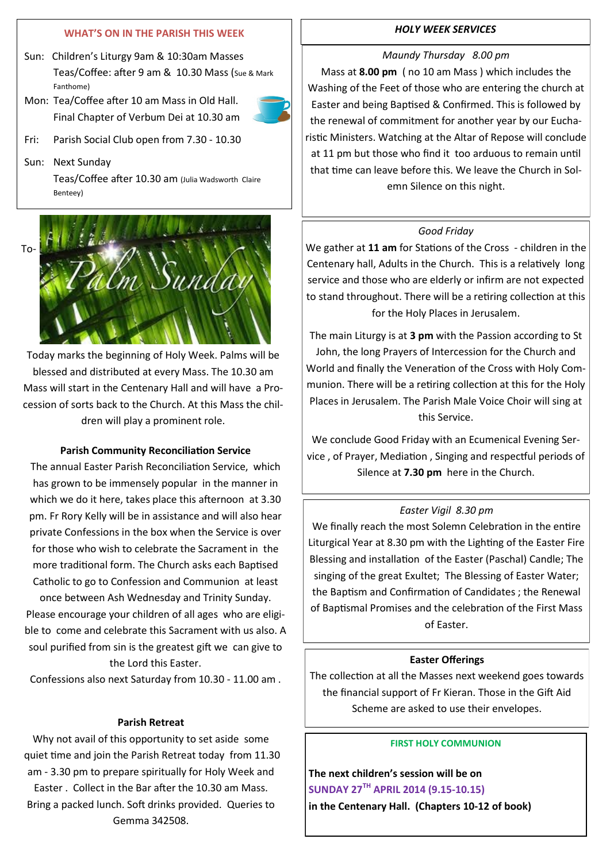#### **WHAT'S ON IN THE PARISH THIS WEEK**

- Sun: Children's Liturgy 9am & 10:30am Masses Teas/Coffee: after 9 am & 10.30 Mass (Sue & Mark Fanthome)
- Mon: Tea/Coffee after 10 am Mass in Old Hall. Final Chapter of Verbum Dei at 10.30 am



- Fri: Parish Social Club open from 7.30 10.30
- Sun: Next Sunday

Teas/Coffee after 10.30 am (Julia Wadsworth Claire Benteey)



Today marks the beginning of Holy Week. Palms will be blessed and distributed at every Mass. The 10.30 am Mass will start in the Centenary Hall and will have a Procession of sorts back to the Church. At this Mass the children will play a prominent role.

#### **Parish Community Reconciliation Service**

The annual Easter Parish Reconciliation Service, which has grown to be immensely popular in the manner in which we do it here, takes place this afternoon at 3.30 pm. Fr Rory Kelly will be in assistance and will also hear private Confessions in the box when the Service is over for those who wish to celebrate the Sacrament in the more traditional form. The Church asks each Baptised Catholic to go to Confession and Communion at least once between Ash Wednesday and Trinity Sunday.

Please encourage your children of all ages who are eligible to come and celebrate this Sacrament with us also. A soul purified from sin is the greatest gift we can give to the Lord this Easter.

Confessions also next Saturday from 10.30 - 11.00 am .

#### **Parish Retreat**

Why not avail of this opportunity to set aside some quiet time and join the Parish Retreat today from 11.30 am - 3.30 pm to prepare spiritually for Holy Week and Easter . Collect in the Bar after the 10.30 am Mass. Bring a packed lunch. Soft drinks provided. Queries to Gemma 342508.

#### *HOLY WEEK SERVICES*

#### *Maundy Thursday 8.00 pm*

Mass at **8.00 pm** ( no 10 am Mass ) which includes the Washing of the Feet of those who are entering the church at Easter and being Baptised & Confirmed. This is followed by the renewal of commitment for another year by our Eucharistic Ministers. Watching at the Altar of Repose will conclude at 11 pm but those who find it too arduous to remain until that time can leave before this. We leave the Church in Solemn Silence on this night.

#### *Good Friday*

We gather at **11 am** for Stations of the Cross - children in the Centenary hall, Adults in the Church. This is a relatively long service and those who are elderly or infirm are not expected to stand throughout. There will be a retiring collection at this for the Holy Places in Jerusalem.

The main Liturgy is at **3 pm** with the Passion according to St John, the long Prayers of Intercession for the Church and World and finally the Veneration of the Cross with Holy Communion. There will be a retiring collection at this for the Holy Places in Jerusalem. The Parish Male Voice Choir will sing at this Service.

We conclude Good Friday with an Ecumenical Evening Service , of Prayer, Mediation , Singing and respectful periods of Silence at **7.30 pm** here in the Church.

#### *Easter Vigil 8.30 pm*

We finally reach the most Solemn Celebration in the entire Liturgical Year at 8.30 pm with the Lighting of the Easter Fire Blessing and installation of the Easter (Paschal) Candle; The singing of the great Exultet; The Blessing of Easter Water; the Baptism and Confirmation of Candidates ; the Renewal of Baptismal Promises and the celebration of the First Mass of Easter.

#### **Easter Offerings**

The collection at all the Masses next weekend goes towards the financial support of Fr Kieran. Those in the Gift Aid Scheme are asked to use their envelopes.

#### **FIRST HOLY COMMUNION**

**The next children's session will be on SUNDAY 27TH APRIL 2014 (9.15-10.15) in the Centenary Hall. (Chapters 10-12 of book)**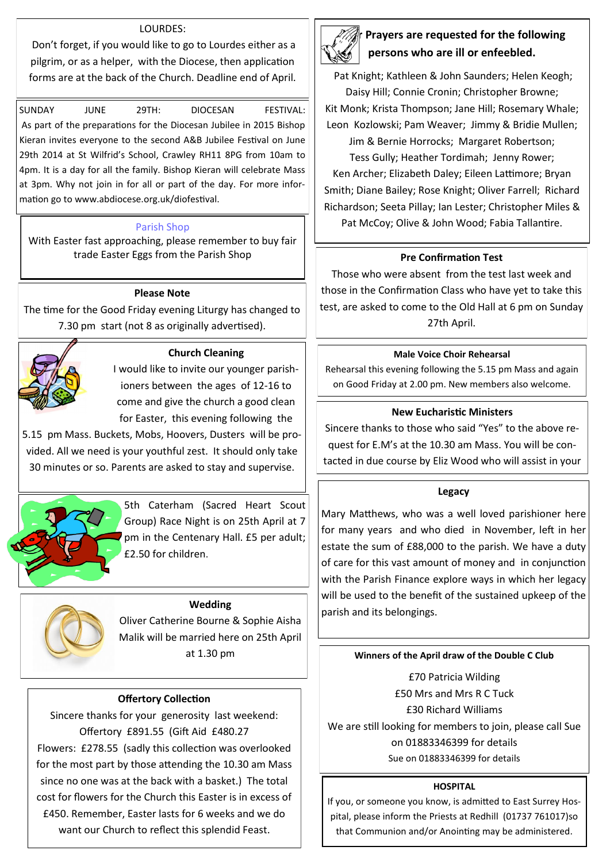#### LOURDES:

Don't forget, if you would like to go to Lourdes either as a pilgrim, or as a helper, with the Diocese, then application forms are at the back of the Church. Deadline end of April.

SUNDAY JUNE 29TH: DIOCESAN FESTIVAL: As part of the preparations for the Diocesan Jubilee in 2015 Bishop Kieran invites everyone to the second A&B Jubilee Festival on June 29th 2014 at St Wilfrid's School, Crawley RH11 8PG from 10am to 4pm. It is a day for all the family. Bishop Kieran will celebrate Mass at 3pm. Why not join in for all or part of the day. For more information go to www.abdiocese.org.uk/diofestival.

#### Parish Shop

With Easter fast approaching, please remember to buy fair trade Easter Eggs from the Parish Shop **Pre Confirmation Test**

#### **Please Note**

The time for the Good Friday evening Liturgy has changed to 7.30 pm start (not 8 as originally advertised).



#### **Church Cleaning**

I would like to invite our younger parishioners between the ages of 12-16 to come and give the church a good clean for Easter, this evening following the

5.15 pm Mass. Buckets, Mobs, Hoovers, Dusters will be provided. All we need is your youthful zest. It should only take 30 minutes or so. Parents are asked to stay and supervise.



5th Caterham (Sacred Heart Scout Group) Race Night is on 25th April at 7 pm in the Centenary Hall. £5 per adult; £2.50 for children.

#### **Wedding**

Oliver Catherine Bourne & Sophie Aisha Malik will be married here on 25th April at 1.30 pm

#### **Offertory Collection**

Sincere thanks for your generosity last weekend: Offertory £891.55 (Gift Aid £480.27 Flowers: £278.55 (sadly this collection was overlooked for the most part by those attending the 10.30 am Mass since no one was at the back with a basket.) The total cost for flowers for the Church this Easter is in excess of £450. Remember, Easter lasts for 6 weeks and we do want our Church to reflect this splendid Feast.



### **Prayers are requested for the following persons who are ill or enfeebled.**

Pat Knight; Kathleen & John Saunders; Helen Keogh; Daisy Hill; Connie Cronin; Christopher Browne; Kit Monk; Krista Thompson; Jane Hill; Rosemary Whale;

Leon Kozlowski; Pam Weaver; Jimmy & Bridie Mullen; Jim & Bernie Horrocks; Margaret Robertson;

Tess Gully; Heather Tordimah; Jenny Rower; Ken Archer; Elizabeth Daley; Eileen Lattimore; Bryan Smith; Diane Bailey; Rose Knight; Oliver Farrell; Richard Richardson; Seeta Pillay; Ian Lester; Christopher Miles & Pat McCoy; Olive & John Wood; Fabia Tallantire.

Those who were absent from the test last week and those in the Confirmation Class who have yet to take this test, are asked to come to the Old Hall at 6 pm on Sunday 27th April.

#### **Male Voice Choir Rehearsal**

Rehearsal this evening following the 5.15 pm Mass and again on Good Friday at 2.00 pm. New members also welcome.

#### **New Eucharistic Ministers**

Sincere thanks to those who said "Yes" to the above request for E.M's at the 10.30 am Mass. You will be contacted in due course by Eliz Wood who will assist in your

#### **Legacy**

Mary Matthews, who was a well loved parishioner here for many years and who died in November, left in her estate the sum of £88,000 to the parish. We have a duty of care for this vast amount of money and in conjunction with the Parish Finance explore ways in which her legacy will be used to the benefit of the sustained upkeep of the parish and its belongings.

#### **Winners of the April draw of the Double C Club**

£70 Patricia Wilding £50 Mrs and Mrs R C Tuck £30 Richard Williams We are still looking for members to join, please call Sue on 01883346399 for details Sue on 01883346399 for details

#### **HOSPITAL**

If you, or someone you know, is admitted to East Surrey Hospital, please inform the Priests at Redhill (01737 761017)so that Communion and/or Anointing may be administered.